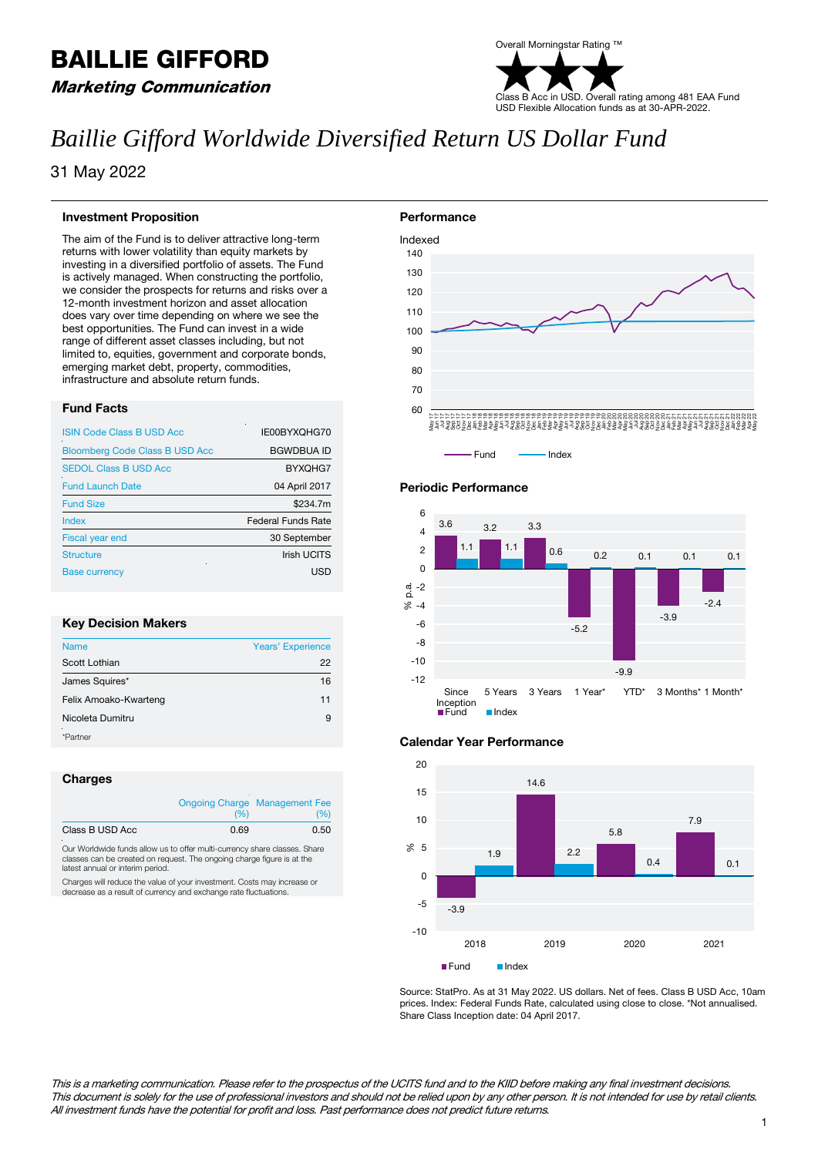# BAILLIE GIFFORD

Marketing Communication

### Overall Morningstar Rating ™ Class B Acc in USD. Overall rating among 481 EAA Fund USD Flexible Allocation funds as at 30-APR-2022.

## *Baillie Gifford Worldwide Diversified Return US Dollar Fund*

31 May 2022

#### **Investment Proposition**

The aim of the Fund is to deliver attractive long-term returns with lower volatility than equity markets by investing in a diversified portfolio of assets. The Fund is actively managed. When constructing the portfolio, we consider the prospects for returns and risks over a 12-month investment horizon and asset allocation does vary over time depending on where we see the best opportunities. The Fund can invest in a wide range of different asset classes including, but not limited to, equities, government and corporate bonds, emerging market debt, property, commodities, infrastructure and absolute return funds.

#### **Fund Facts**

| <b>ISIN Code Class B USD Acc</b>      | IE00BYXQHG70              |
|---------------------------------------|---------------------------|
| <b>Bloomberg Code Class B USD Acc</b> | <b>BGWDBUA ID</b>         |
| <b>SEDOL Class B USD Acc</b>          | BYXQHG7                   |
| <b>Fund Launch Date</b>               | 04 April 2017             |
| <b>Fund Size</b>                      | \$234.7m                  |
| Index                                 | <b>Federal Funds Rate</b> |
| <b>Fiscal year end</b>                | 30 September              |
| <b>Structure</b>                      | <b>Irish UCITS</b>        |
| <b>Base currency</b>                  | USD                       |

#### **Key Decision Makers**

| <b>Name</b>           | <b>Years' Experience</b> |
|-----------------------|--------------------------|
| Scott Lothian         | 22                       |
| James Squires*        | 16                       |
| Felix Amoako-Kwarteng | 11                       |
| Nicoleta Dumitru      | 9                        |
| *Partner              |                          |

#### **Charges**

|                 | (96) | <b>Ongoing Charge Management Fee</b><br>(%) |
|-----------------|------|---------------------------------------------|
| Class B USD Acc | 0.69 | 0.50                                        |

Our Worldwide funds allow us to offer multi-currency share classes. Share classes can be created on request. The ongoing charge figure is at the latest annual or interim period.

Charges will reduce the value of your investment. Costs may increase or decrease as a result of currency and exchange rate fluctuations.





#### **Periodic Performance**



#### **Calendar Year Performance**



Source: StatPro. As at 31 May 2022. US dollars. Net of fees. Class B USD Acc, 10am prices. Index: Federal Funds Rate, calculated using close to close. \*Not annualised. Share Class Inception date: 04 April 2017.

This is a marketing communication. Please refer to the prospectus of the UCITS fund and to the KIID before making any final investment decisions. This document is solely for the use of professional investors and should not be relied upon by any other person. It is not intended for use by retail clients. All investment funds have the potential for profit and loss. Past performance does not predict future returns.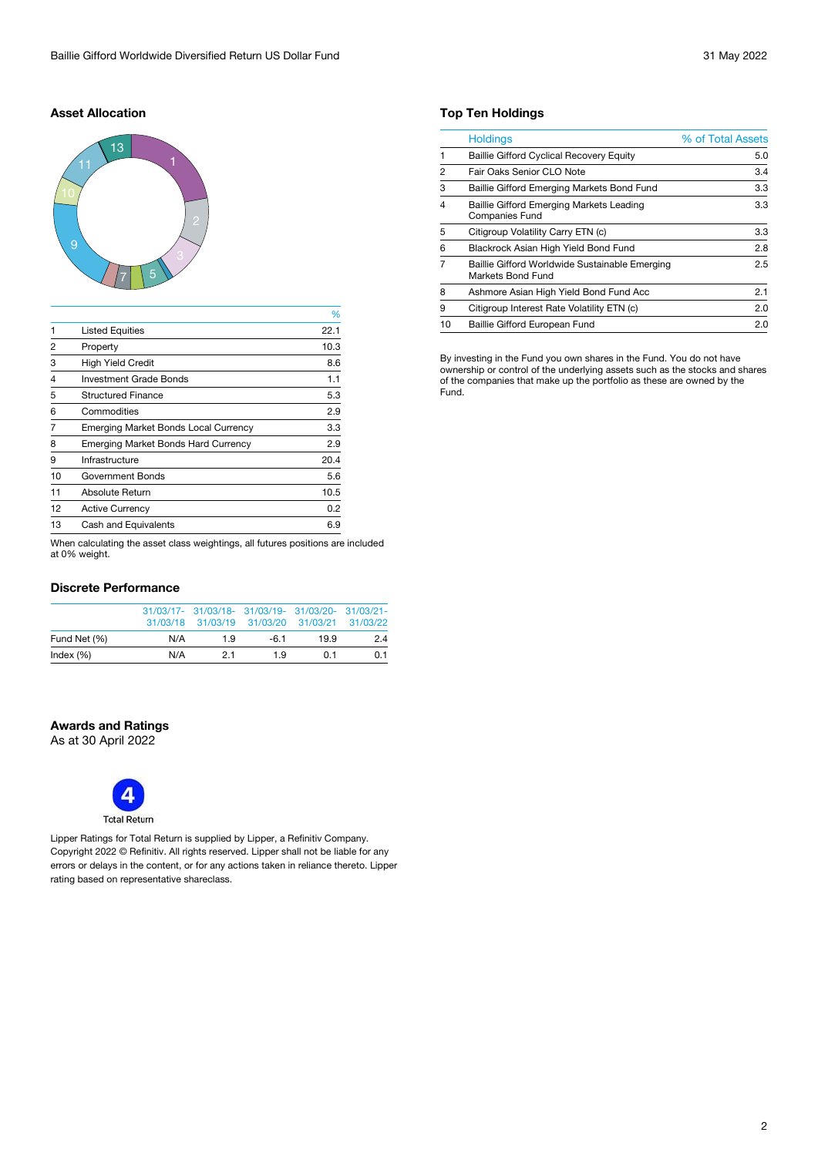#### **Asset Allocation**



|                |                                             | %    |
|----------------|---------------------------------------------|------|
| $\mathbf{1}$   | <b>Listed Equities</b>                      | 22.1 |
| $\overline{2}$ | Property                                    | 10.3 |
| 3              | <b>High Yield Credit</b>                    | 8.6  |
| 4              | <b>Investment Grade Bonds</b>               | 1.1  |
| 5              | <b>Structured Finance</b>                   | 5.3  |
| 6              | Commodities                                 | 2.9  |
| 7              | <b>Emerging Market Bonds Local Currency</b> | 3.3  |
| 8              | <b>Emerging Market Bonds Hard Currency</b>  | 2.9  |
| 9              | Infrastructure                              | 20.4 |
| 10             | <b>Government Bonds</b>                     | 5.6  |
| 11             | Absolute Return                             | 10.5 |
| 12             | <b>Active Currency</b>                      | 0.2  |
| 13             | <b>Cash and Equivalents</b>                 | 6.9  |
|                |                                             |      |

When calculating the asset class weightings, all futures positions are included at 0% weight.

#### **Discrete Performance**

|              |     | 31/03/17- 31/03/18- 31/03/19- 31/03/20- 31/03/21-<br>31/03/18 31/03/19 31/03/20 31/03/21 31/03/22 |        |     |     |
|--------------|-----|---------------------------------------------------------------------------------------------------|--------|-----|-----|
| Fund Net (%) | N/A | 19                                                                                                | $-6.1$ | 199 | 2.4 |
| Index $(\%)$ | N/A | 21                                                                                                | 19     | 0.1 | 0.1 |

#### **Awards and Ratings**

As at 30 April 2022



Lipper Ratings for Total Return is supplied by Lipper, a Refinitiv Company. Copyright 2022 © Refinitiv. All rights reserved. Lipper shall not be liable for any errors or delays in the content, or for any actions taken in reliance thereto. Lipper rating based on representative shareclass.

#### **Top Ten Holdings**

|                | <b>Holdings</b>                                                          | % of Total Assets |
|----------------|--------------------------------------------------------------------------|-------------------|
|                | <b>Baillie Gifford Cyclical Recovery Equity</b>                          | 5.0               |
| $\overline{2}$ | Fair Oaks Senior CLO Note                                                | 3.4               |
| 3              | Baillie Gifford Emerging Markets Bond Fund                               | 3.3               |
| $\overline{4}$ | <b>Baillie Gifford Emerging Markets Leading</b><br><b>Companies Fund</b> | 3.3               |
| 5              | Citigroup Volatility Carry ETN (c)                                       | 3.3               |
| 6              | Blackrock Asian High Yield Bond Fund                                     | 2.8               |
| 7              | Baillie Gifford Worldwide Sustainable Emerging<br>Markets Bond Fund      | 2.5               |
| 8              | Ashmore Asian High Yield Bond Fund Acc                                   | 2.1               |
| 9              | Citigroup Interest Rate Volatility ETN (c)                               | 2.0               |
| 10             | <b>Baillie Gifford European Fund</b>                                     | 2.0               |

By investing in the Fund you own shares in the Fund. You do not have ownership or control of the underlying assets such as the stocks and shares of the companies that make up the portfolio as these are owned by the Fund.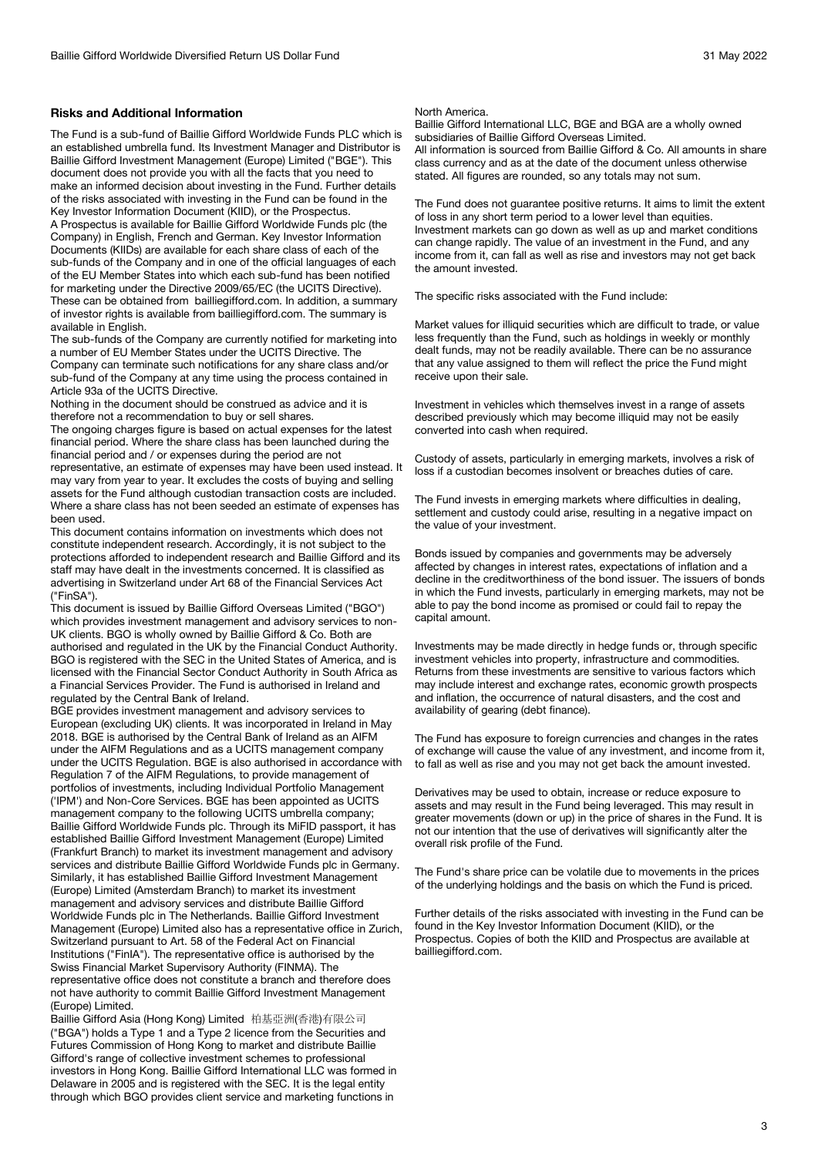#### **Risks and Additional Information**

The Fund is a sub-fund of Baillie Gifford Worldwide Funds PLC which is an established umbrella fund. Its Investment Manager and Distributor is Baillie Gifford Investment Management (Europe) Limited ("BGE"). This document does not provide you with all the facts that you need to make an informed decision about investing in the Fund. Further details of the risks associated with investing in the Fund can be found in the Key Investor Information Document (KIID), or the Prospectus.

A Prospectus is available for Baillie Gifford Worldwide Funds plc (the Company) in English, French and German. Key Investor Information Documents (KIIDs) are available for each share class of each of the sub-funds of the Company and in one of the official languages of each of the EU Member States into which each sub-fund has been notified for marketing under the Directive 2009/65/EC (the UCITS Directive). These can be obtained from bailliegifford.com. In addition, a summary of investor rights is available from bailliegifford.com. The summary is available in English.

The sub-funds of the Company are currently notified for marketing into a number of EU Member States under the UCITS Directive. The Company can terminate such notifications for any share class and/or sub-fund of the Company at any time using the process contained in Article 93a of the UCITS Directive.

Nothing in the document should be construed as advice and it is therefore not a recommendation to buy or sell shares.

The ongoing charges figure is based on actual expenses for the latest financial period. Where the share class has been launched during the financial period and / or expenses during the period are not representative, an estimate of expenses may have been used instead. It may vary from year to year. It excludes the costs of buying and selling assets for the Fund although custodian transaction costs are included. Where a share class has not been seeded an estimate of expenses has

been used. This document contains information on investments which does not constitute independent research. Accordingly, it is not subject to the protections afforded to independent research and Baillie Gifford and its staff may have dealt in the investments concerned. It is classified as advertising in Switzerland under Art 68 of the Financial Services Act ("FinSA").

This document is issued by Baillie Gifford Overseas Limited ("BGO") which provides investment management and advisory services to non-UK clients. BGO is wholly owned by Baillie Gifford & Co. Both are authorised and regulated in the UK by the Financial Conduct Authority. BGO is registered with the SEC in the United States of America, and is licensed with the Financial Sector Conduct Authority in South Africa as a Financial Services Provider. The Fund is authorised in Ireland and regulated by the Central Bank of Ireland.

BGE provides investment management and advisory services to European (excluding UK) clients. It was incorporated in Ireland in May 2018. BGE is authorised by the Central Bank of Ireland as an AIFM under the AIFM Regulations and as a UCITS management company under the UCITS Regulation. BGE is also authorised in accordance with Regulation 7 of the AIFM Regulations, to provide management of portfolios of investments, including Individual Portfolio Management ('IPM') and Non-Core Services. BGE has been appointed as UCITS management company to the following UCITS umbrella company; Baillie Gifford Worldwide Funds plc. Through its MiFID passport, it has established Baillie Gifford Investment Management (Europe) Limited (Frankfurt Branch) to market its investment management and advisory services and distribute Baillie Gifford Worldwide Funds plc in Germany. Similarly, it has established Baillie Gifford Investment Management (Europe) Limited (Amsterdam Branch) to market its investment management and advisory services and distribute Baillie Gifford Worldwide Funds plc in The Netherlands. Baillie Gifford Investment Management (Europe) Limited also has a representative office in Zurich, Switzerland pursuant to Art. 58 of the Federal Act on Financial Institutions ("FinIA"). The representative office is authorised by the Swiss Financial Market Supervisory Authority (FINMA). The representative office does not constitute a branch and therefore does not have authority to commit Baillie Gifford Investment Management (Europe) Limited.

Baillie Gifford Asia (Hong Kong) Limited 柏基亞洲(香港)有限公司 ("BGA") holds a Type 1 and a Type 2 licence from the Securities and Futures Commission of Hong Kong to market and distribute Baillie Gifford's range of collective investment schemes to professional investors in Hong Kong. Baillie Gifford International LLC was formed in Delaware in 2005 and is registered with the SEC. It is the legal entity through which BGO provides client service and marketing functions in

#### North America.

Baillie Gifford International LLC, BGE and BGA are a wholly owned subsidiaries of Baillie Gifford Overseas Limited. All information is sourced from Baillie Gifford & Co. All amounts in share class currency and as at the date of the document unless otherwise stated. All figures are rounded, so any totals may not sum.

The Fund does not guarantee positive returns. It aims to limit the extent of loss in any short term period to a lower level than equities. Investment markets can go down as well as up and market conditions can change rapidly. The value of an investment in the Fund, and any income from it, can fall as well as rise and investors may not get back the amount invested.

The specific risks associated with the Fund include:

Market values for illiquid securities which are difficult to trade, or value less frequently than the Fund, such as holdings in weekly or monthly dealt funds, may not be readily available. There can be no assurance that any value assigned to them will reflect the price the Fund might receive upon their sale.

Investment in vehicles which themselves invest in a range of assets described previously which may become illiquid may not be easily converted into cash when required.

Custody of assets, particularly in emerging markets, involves a risk of loss if a custodian becomes insolvent or breaches duties of care.

The Fund invests in emerging markets where difficulties in dealing, settlement and custody could arise, resulting in a negative impact on the value of your investment.

Bonds issued by companies and governments may be adversely affected by changes in interest rates, expectations of inflation and a decline in the creditworthiness of the bond issuer. The issuers of bonds in which the Fund invests, particularly in emerging markets, may not be able to pay the bond income as promised or could fail to repay the capital amount.

Investments may be made directly in hedge funds or, through specific investment vehicles into property, infrastructure and commodities. Returns from these investments are sensitive to various factors which may include interest and exchange rates, economic growth prospects and inflation, the occurrence of natural disasters, and the cost and availability of gearing (debt finance).

The Fund has exposure to foreign currencies and changes in the rates of exchange will cause the value of any investment, and income from it, to fall as well as rise and you may not get back the amount invested.

Derivatives may be used to obtain, increase or reduce exposure to assets and may result in the Fund being leveraged. This may result in greater movements (down or up) in the price of shares in the Fund. It is not our intention that the use of derivatives will significantly alter the overall risk profile of the Fund.

The Fund's share price can be volatile due to movements in the prices of the underlying holdings and the basis on which the Fund is priced.

Further details of the risks associated with investing in the Fund can be found in the Key Investor Information Document (KIID), or the Prospectus. Copies of both the KIID and Prospectus are available at bailliegifford.com.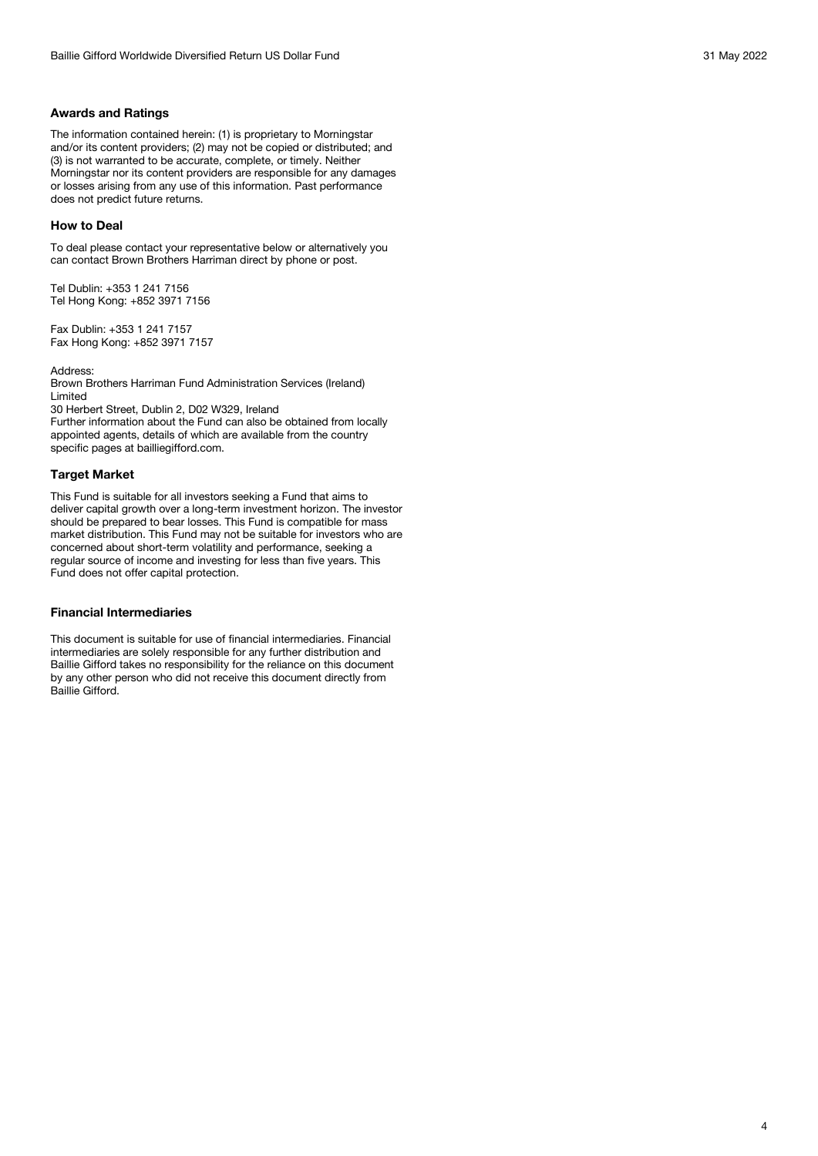#### **Awards and Ratings**

The information contained herein: (1) is proprietary to Morningstar and/or its content providers; (2) may not be copied or distributed; and (3) is not warranted to be accurate, complete, or timely. Neither Morningstar nor its content providers are responsible for any damages or losses arising from any use of this information. Past performance does not predict future returns.

#### **How to Deal**

To deal please contact your representative below or alternatively you can contact Brown Brothers Harriman direct by phone or post.

Tel Dublin: +353 1 241 7156 Tel Hong Kong: +852 3971 7156

Fax Dublin: +353 1 241 7157 Fax Hong Kong: +852 3971 7157

Address:

Brown Brothers Harriman Fund Administration Services (Ireland) Limited

30 Herbert Street, Dublin 2, D02 W329, Ireland

Further information about the Fund can also be obtained from locally appointed agents, details of which are available from the country specific pages at bailliegifford.com.

#### **Target Market**

This Fund is suitable for all investors seeking a Fund that aims to deliver capital growth over a long-term investment horizon. The investor should be prepared to bear losses. This Fund is compatible for mass market distribution. This Fund may not be suitable for investors who are concerned about short-term volatility and performance, seeking a regular source of income and investing for less than five years. This Fund does not offer capital protection.

#### **Financial Intermediaries**

This document is suitable for use of financial intermediaries. Financial intermediaries are solely responsible for any further distribution and Baillie Gifford takes no responsibility for the reliance on this document by any other person who did not receive this document directly from Baillie Gifford.